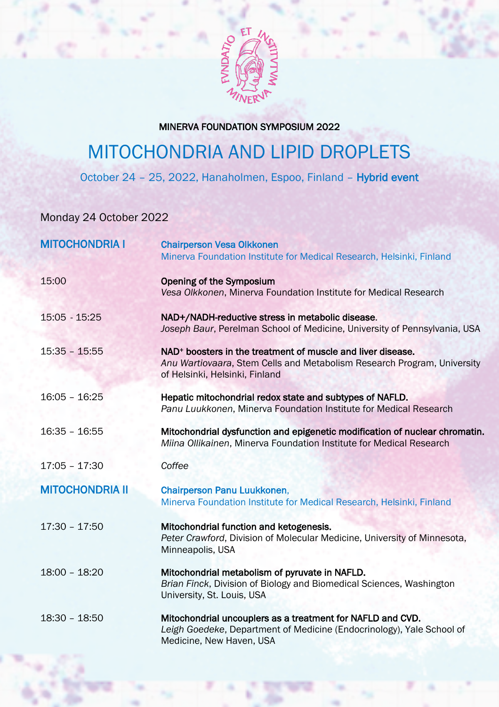

## MINERVA FOUNDATION SYMPOSIUM 2022

## MITOCHONDRIA AND LIPID DROPLETS

October 24 – 25, 2022, Hanaholmen, Espoo, Finland – Hybrid event

Monday 24 October 2022

| <b>MITOCHONDRIA I</b>  | <b>Chairperson Vesa Olkkonen</b><br>Minerva Foundation Institute for Medical Research, Helsinki, Finland                                                                             |
|------------------------|--------------------------------------------------------------------------------------------------------------------------------------------------------------------------------------|
| 15:00                  | <b>Opening of the Symposium</b><br>Vesa Olkkonen, Minerva Foundation Institute for Medical Research                                                                                  |
| 15:05 - 15:25          | NAD+/NADH-reductive stress in metabolic disease.<br>Joseph Baur, Perelman School of Medicine, University of Pennsylvania, USA                                                        |
| $15:35 - 15:55$        | NAD <sup>+</sup> boosters in the treatment of muscle and liver disease.<br>Anu Wartiovaara, Stem Cells and Metabolism Research Program, University<br>of Helsinki, Helsinki, Finland |
| $16:05 - 16:25$        | Hepatic mitochondrial redox state and subtypes of NAFLD.<br>Panu Luukkonen, Minerva Foundation Institute for Medical Research                                                        |
| $16:35 - 16:55$        | Mitochondrial dysfunction and epigenetic modification of nuclear chromatin.<br>Miina Ollikainen, Minerva Foundation Institute for Medical Research                                   |
| $17:05 - 17:30$        | Coffee                                                                                                                                                                               |
| <b>MITOCHONDRIA II</b> | Chairperson Panu Luukkonen,<br>Minerva Foundation Institute for Medical Research, Helsinki, Finland                                                                                  |
| $17:30 - 17:50$        | Mitochondrial function and ketogenesis.<br>Peter Crawford, Division of Molecular Medicine, University of Minnesota,<br>Minneapolis, USA                                              |
| $18:00 - 18:20$        | Mitochondrial metabolism of pyruvate in NAFLD.<br>Brian Finck, Division of Biology and Biomedical Sciences, Washington<br>University, St. Louis, USA                                 |
| 18:30 - 18:50          | Mitochondrial uncouplers as a treatment for NAFLD and CVD.<br>Leigh Goedeke, Department of Medicine (Endocrinology), Yale School of<br>Medicine, New Haven, USA                      |